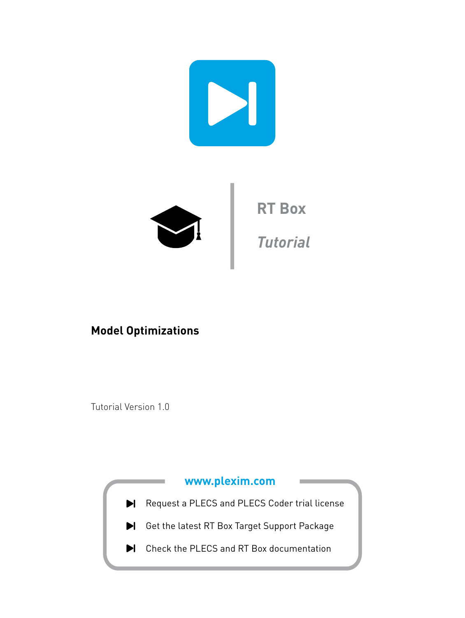

## **Model Optimizations**

Tutorial Version 1.0

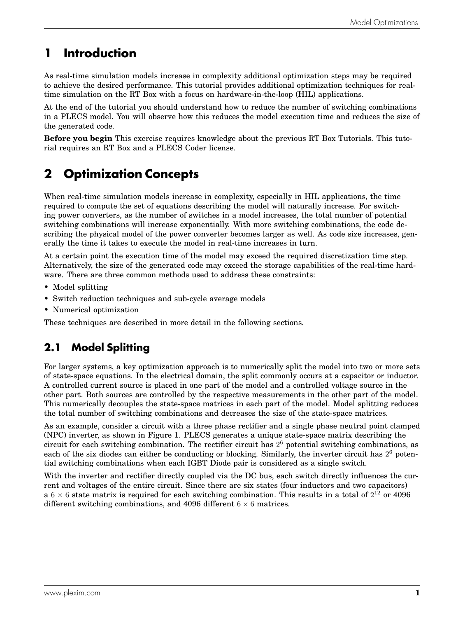# **1 Introduction**

As real-time simulation models increase in complexity additional optimization steps may be required to achieve the desired performance. This tutorial provides additional optimization techniques for realtime simulation on the RT Box with a focus on hardware-in-the-loop (HIL) applications.

At the end of the tutorial you should understand how to reduce the number of switching combinations in a PLECS model. You will observe how this reduces the model execution time and reduces the size of the generated code.

**Before you begin** This exercise requires knowledge about the previous RT Box Tutorials. This tutorial requires an RT Box and a PLECS Coder license.

# **2 Optimization Concepts**

When real-time simulation models increase in complexity, especially in HIL applications, the time required to compute the set of equations describing the model will naturally increase. For switching power converters, as the number of switches in a model increases, the total number of potential switching combinations will increase exponentially. With more switching combinations, the code describing the physical model of the power converter becomes larger as well. As code size increases, generally the time it takes to execute the model in real-time increases in turn.

At a certain point the execution time of the model may exceed the required discretization time step. Alternatively, the size of the generated code may exceed the storage capabilities of the real-time hardware. There are three common methods used to address these constraints:

- Model splitting
- Switch reduction techniques and sub-cycle average models
- Numerical optimization

These techniques are described in more detail in the following sections.

## **2.1 Model Splitting**

For larger systems, a key optimization approach is to numerically split the model into two or more sets of state-space equations. In the electrical domain, the split commonly occurs at a capacitor or inductor. A controlled current source is placed in one part of the model and a controlled voltage source in the other part. Both sources are controlled by the respective measurements in the other part of the model. This numerically decouples the state-space matrices in each part of the model. Model splitting reduces the total number of switching combinations and decreases the size of the state-space matrices.

As an example, consider a circuit with a three phase rectifier and a single phase neutral point clamped (NPC) inverter, as shown in Figure [1.](#page-2-0) PLECS generates a unique state-space matrix describing the circuit for each switching combination. The rectifier circuit has 2 <sup>6</sup> potential switching combinations, as each of the six diodes can either be conducting or blocking. Similarly, the inverter circuit has 2<sup>6</sup> potential switching combinations when each IGBT Diode pair is considered as a single switch.

With the inverter and rectifier directly coupled via the DC bus, each switch directly influences the current and voltages of the entire circuit. Since there are six states (four inductors and two capacitors) a 6  $\times$  6 state matrix is required for each switching combination. This results in a total of  $2^{12}$  or 4096 different switching combinations, and 4096 different  $6 \times 6$  matrices.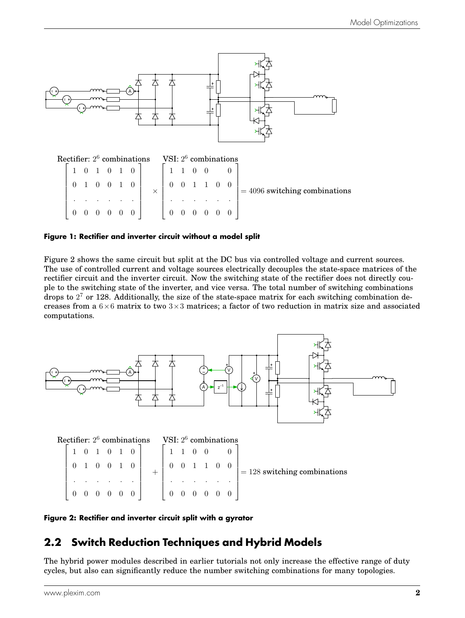<span id="page-2-0"></span>

**Figure 1: Rectifier and inverter circuit without a model split**

Figure [2](#page-2-1) shows the same circuit but split at the DC bus via controlled voltage and current sources. The use of controlled current and voltage sources electrically decouples the state-space matrices of the rectifier circuit and the inverter circuit. Now the switching state of the rectifier does not directly couple to the switching state of the inverter, and vice versa. The total number of switching combinations drops to  $2<sup>7</sup>$  or 128. Additionally, the size of the state-space matrix for each switching combination decreases from a  $6\times6$  matrix to two  $3\times3$  matrices; a factor of two reduction in matrix size and associated computations.

<span id="page-2-1"></span>

| Rectifier: $2^6$ combinations |  |  |                         |                                             | VSI: $2^6$ combinations                           |  |  |                                |
|-------------------------------|--|--|-------------------------|---------------------------------------------|---------------------------------------------------|--|--|--------------------------------|
|                               |  |  | $1 \t0 \t1 \t0 \t1 \t0$ |                                             |                                                   |  |  |                                |
|                               |  |  |                         | $0 \t1 \t0 \t0 \t1 \t0$                     | $\begin{pmatrix} 0 & 0 & 1 & 1 & 0 \end{pmatrix}$ |  |  | $= 128$ switching combinations |
|                               |  |  |                         |                                             |                                                   |  |  |                                |
|                               |  |  |                         | $0 \t0 \t0 \t0 \t0 \t0 \t1 \t0 \t0 \t0 \t0$ |                                                   |  |  |                                |

**Figure 2: Rectifier and inverter circuit split with a gyrator**

### **2.2 Switch Reduction Techniques and Hybrid Models**

The hybrid power modules described in earlier tutorials not only increase the effective range of duty cycles, but also can significantly reduce the number switching combinations for many topologies.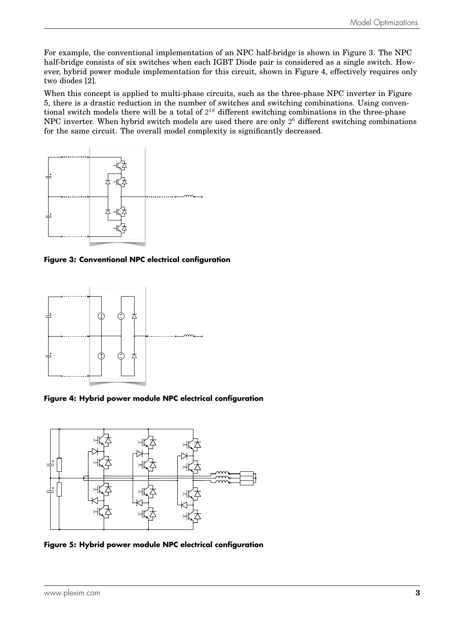For example, the conventional implementation of an NPC half-bridge is shown in Figure [3.](#page-3-0) The NPC half-bridge consists of six switches when each IGBT Diode pair is considered as a single switch. However, hybrid power module implementation for this circuit, shown in Figure [4,](#page-3-1) effectively requires only two diodes [\[2\]](#page-8-0).

When this concept is applied to multi-phase circuits, such as the three-phase NPC inverter in Figure [5,](#page-3-2) there is a drastic reduction in the number of switches and switching combinations. Using conventional switch models there will be a total of  $2^{18}$  different switching combinations in the three-phase NPC inverter. When hybrid switch models are used there are only  $2^6$  different switching combinations for the same circuit. The overall model complexity is significantly decreased.

<span id="page-3-0"></span>

**Figure 3: Conventional NPC electrical configuration**

<span id="page-3-1"></span>

**Figure 4: Hybrid power module NPC electrical configuration**

<span id="page-3-2"></span>

**Figure 5: Hybrid power module NPC electrical configuration**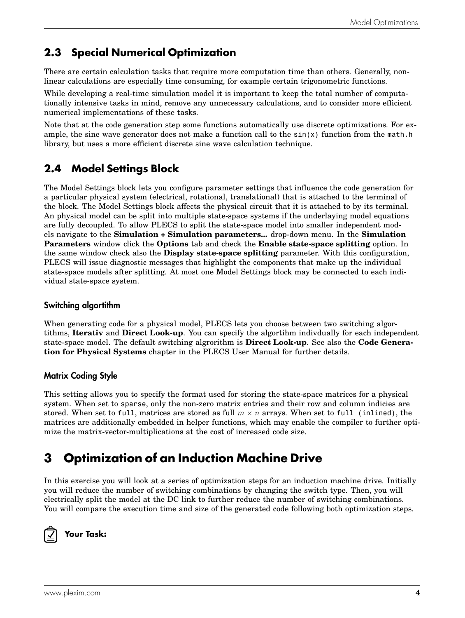## **2.3 Special Numerical Optimization**

There are certain calculation tasks that require more computation time than others. Generally, nonlinear calculations are especially time consuming, for example certain trigonometric functions.

While developing a real-time simulation model it is important to keep the total number of computationally intensive tasks in mind, remove any unnecessary calculations, and to consider more efficient numerical implementations of these tasks.

Note that at the code generation step some functions automatically use discrete optimizations. For example, the sine wave generator does not make a function call to the  $sin(x)$  function from the math.h library, but uses a more efficient discrete sine wave calculation technique.

## **2.4 Model Settings Block**

The Model Settings block lets you configure parameter settings that influence the code generation for a particular physical system (electrical, rotational, translational) that is attached to the terminal of the block. The Model Settings block affects the physical circuit that it is attached to by its terminal. An physical model can be split into multiple state-space systems if the underlaying model equations are fully decoupled. To allow PLECS to split the state-space model into smaller independent models navigate to the **Simulation + Simulation parameters...** drop-down menu. In the **Simulation Parameters** window click the **Options** tab and check the **Enable state-space splitting** option. In the same window check also the **Display state-space splitting** parameter. With this configuration, PLECS will issue diagnostic messages that highlight the components that make up the individual state-space models after splitting. At most one Model Settings block may be connected to each individual state-space system.

#### Switching algortithm

When generating code for a physical model, PLECS lets you choose between two switching algortithms, **Iterativ** and **Direct Look-up**. You can specify the algortihm indivdually for each independent state-space model. The default switching algrorithm is **Direct Look-up**. See also the **Code Generation for Physical Systems** chapter in the PLECS User Manual for further details.

### Matrix Coding Style

This setting allows you to specify the format used for storing the state-space matrices for a physical system. When set to sparse, only the non-zero matrix entries and their row and column indicies are stored. When set to full, matrices are stored as full  $m \times n$  arrays. When set to full (inlined), the matrices are additionally embedded in helper functions, which may enable the compiler to further optimize the matrix-vector-multiplications at the cost of increased code size.

# **3 Optimization of an Induction Machine Drive**

In this exercise you will look at a series of optimization steps for an induction machine drive. Initially you will reduce the number of switching combinations by changing the switch type. Then, you will electrically split the model at the DC link to further reduce the number of switching combinations. You will compare the execution time and size of the generated code following both optimization steps.



**Your Task:**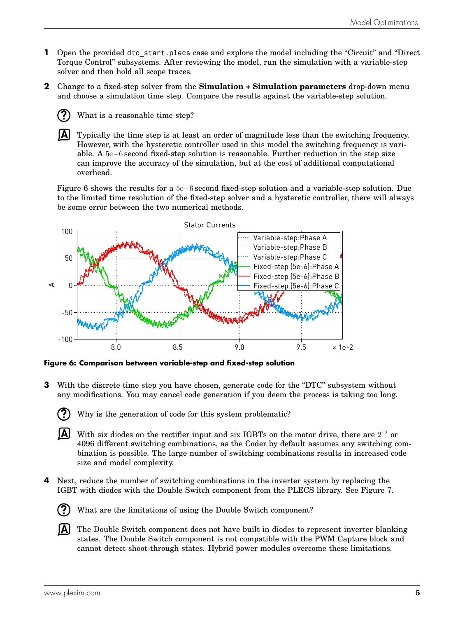- **1** Open the provided dtc start.plecs case and explore the model including the "Circuit" and "Direct Torque Control" subsystems. After reviewing the model, run the simulation with a variable-step solver and then hold all scope traces.
- **2** Change to a fixed-step solver from the **Simulation + Simulation parameters** drop-down menu and choose a simulation time step. Compare the results against the variable-step solution.
	- **?** What is a reasonable time step?

**A**

Typically the time step is at least an order of magnitude less than the switching frequency. However, with the hysteretic controller used in this model the switching frequency is variable. A 5e−6 second fixed-step solution is reasonable. Further reduction in the step size can improve the accuracy of the simulation, but at the cost of additional computational overhead.

Figure [6](#page-5-0) shows the results for a 5e−6 second fixed-step solution and a variable-step solution. Due to the limited time resolution of the fixed-step solver and a hysteretic controller, there will always be some error between the two numerical methods.

<span id="page-5-0"></span>

**Figure 6: Comparison between variable-step and fixed-step solution**

- **3** With the discrete time step you have chosen, generate code for the "DTC" subsystem without any modifications. You may cancel code generation if you deem the process is taking too long.
	- Why is the generation of code for this system problematic?
	- $\overline{A}$  With six diodes on the rectifier input and six IGBTs on the motor drive, there are  $2^{12}$  or 4096 different switching combinations, as the Coder by default assumes any switching combination is possible. The large number of switching combinations results in increased code size and model complexity.
- **4** Next, reduce the number of switching combinations in the inverter system by replacing the IGBT with diodes with the Double Switch component from the PLECS library. See Figure [7.](#page-6-0)



**?**

- What are the limitations of using the Double Switch component?
- **A** The Double Switch component does not have built in diodes to represent inverter blanking states. The Double Switch component is not compatible with the PWM Capture block and cannot detect shoot-through states. Hybrid power modules overcome these limitations.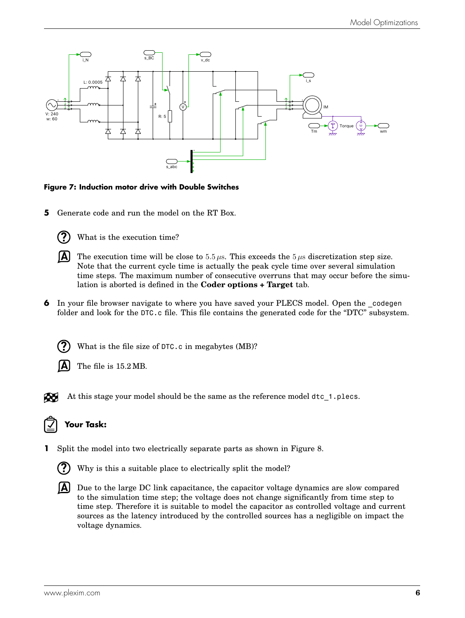<span id="page-6-0"></span>

#### **Figure 7: Induction motor drive with Double Switches**

<span id="page-6-1"></span>**5** Generate code and run the model on the RT Box.



What is the execution time?



**A** The execution time will be close to 5.5  $\mu$ s. This exceeds the 5  $\mu$ s discretization step size. Note that the current cycle time is actually the peak cycle time over several simulation time steps. The maximum number of consecutive overruns that may occur before the simulation is aborted is defined in the **Coder options + Target** tab.

<span id="page-6-2"></span>**6** In your file browser navigate to where you have saved your PLECS model. Open the codegen folder and look for the DTC.c file. This file contains the generated code for the "DTC" subsystem.



What is the file size of DTC.c in megabytes (MB)?



The file is 15.2 MB.

At this stage your model should be the same as the reference model dtc\_1.plecs. Æ

### **Your Task:**

**1** Split the model into two electrically separate parts as shown in Figure [8.](#page-7-0)



Why is this a suitable place to electrically split the model?

**A** Due to the large DC link capacitance, the capacitor voltage dynamics are slow compared to the simulation time step; the voltage does not change significantly from time step to time step. Therefore it is suitable to model the capacitor as controlled voltage and current sources as the latency introduced by the controlled sources has a negligible on impact the voltage dynamics.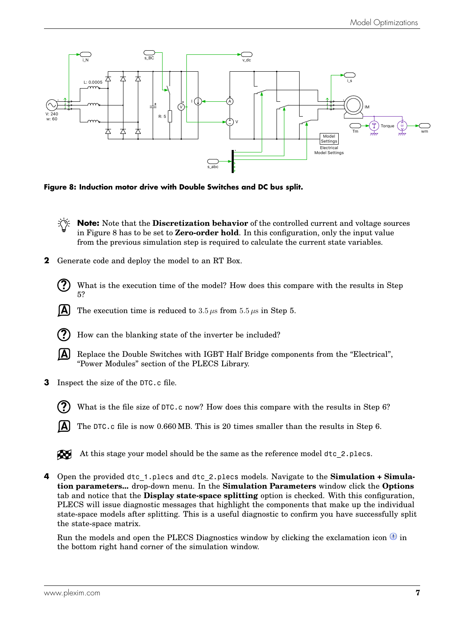<span id="page-7-0"></span>

**Figure 8: Induction motor drive with Double Switches and DC bus split.**

**Note:** Note that the **Discretization behavior** of the controlled current and voltage sources in Figure [8](#page-7-0) has to be set to **Zero-order hold**. In this configuration, only the input value from the previous simulation step is required to calculate the current state variables.

- <span id="page-7-1"></span>**2** Generate code and deploy the model to an RT Box.
	- **?** What is the execution time of the model? How does this compare with the results in Step [5?](#page-6-1)
	- **A** The execution time is reduced to  $3.5 \mu s$  from  $5.5 \mu s$  $5.5 \mu s$  in Step 5.
	- **?** How can the blanking state of the inverter be included?
	- **A** Replace the Double Switches with IGBT Half Bridge components from the "Electrical", "Power Modules" section of the PLECS Library.
- **3** Inspect the size of the DTC.c file.
	- **?**

What is the file size of DTC.c now? How does this compare with the results in Step [6?](#page-6-2)

**A** The DTC.c file is now 0.660 MB. This is 20 times smaller than the results in Step [6.](#page-6-2)



At this stage your model should be the same as the reference model dtc\_2.plecs.

**4** Open the provided dtc\_1.plecs and dtc\_2.plecs models. Navigate to the **Simulation + Simulation parameters...** drop-down menu. In the **Simulation Parameters** window click the **Options** tab and notice that the **Display state-space splitting** option is checked. With this configuration, PLECS will issue diagnostic messages that highlight the components that make up the individual state-space models after splitting. This is a useful diagnostic to confirm you have successfully split the state-space matrix.

Run the models and open the PLECS Diagnostics window by clicking the exclamation icon  $\bigcirc$  in the bottom right hand corner of the simulation window.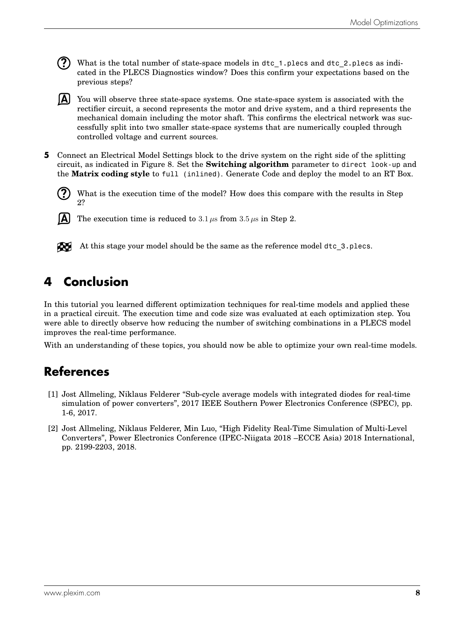**?** What is the total number of state-space models in dtc\_1.plecs and dtc\_2.plecs as indicated in the PLECS Diagnostics window? Does this confirm your expectations based on the previous steps?

**A** You will observe three state-space systems. One state-space system is associated with the rectifier circuit, a second represents the motor and drive system, and a third represents the mechanical domain including the motor shaft. This confirms the electrical network was successfully split into two smaller state-space systems that are numerically coupled through controlled voltage and current sources.

**5** Connect an Electrical Model Settings block to the drive system on the right side of the splitting circuit, as indicated in Figure [8.](#page-7-0) Set the **Switching algorithm** parameter to direct look-up and the **Matrix coding style** to full (inlined). Generate Code and deploy the model to an RT Box.

**?** What is the execution time of the model? How does this compare with the results in Step [2?](#page-7-1)



The execution time is reduced to  $3.1 \,\mu s$  from  $3.5 \,\mu s$  in Step [2.](#page-7-1)



At this stage your model should be the same as the reference model dtc\_3.plecs.

## **4 Conclusion**

In this tutorial you learned different optimization techniques for real-time models and applied these in a practical circuit. The execution time and code size was evaluated at each optimization step. You were able to directly observe how reducing the number of switching combinations in a PLECS model improves the real-time performance.

With an understanding of these topics, you should now be able to optimize your own real-time models.

## **References**

- [1] Jost Allmeling, Niklaus Felderer "Sub-cycle average models with integrated diodes for real-time simulation of power converters", 2017 IEEE Southern Power Electronics Conference (SPEC), pp. 1-6, 2017.
- <span id="page-8-0"></span>[2] Jost Allmeling, Niklaus Felderer, Min Luo, "High Fidelity Real-Time Simulation of Multi-Level Converters", Power Electronics Conference (IPEC-Niigata 2018 –ECCE Asia) 2018 International, pp. 2199-2203, 2018.